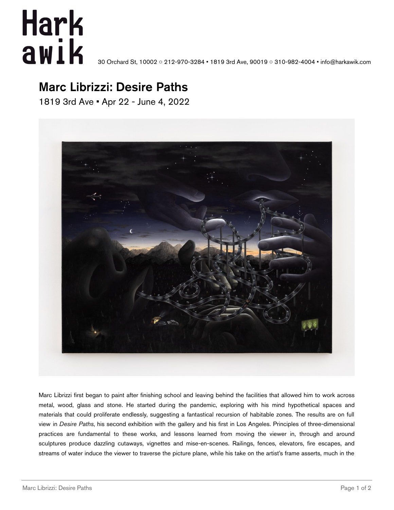## **Hark** awik

30 Orchard St, 10002 ◦ 212-970-3284 • 1819 3rd Ave, 90019 ◦ 310-982-4004 • info@harkawik.com

## Marc Librizzi: Desire Paths

1819 3rd Ave • Apr 22 - June 4, 2022



Marc Librizzi first began to paint after finishing school and leaving behind the facilities that allowed him to work across metal, wood, glass and stone. He started during the pandemic, exploring with his mind hypothetical spaces and materials that could proliferate endlessly, suggesting a fantastical recursion of habitable zones. The results are on full view in *Desire Paths*, his second exhibition with the gallery and his first in Los Angeles. Principles of three-dimensional practices are fundamental to these works, and lessons learned from moving the viewer in, through and around sculptures produce dazzling cutaways, vignettes and mise-en-scenes. Railings, fences, elevators, fire escapes, and streams of water induce the viewer to traverse the picture plane, while his take on the artist's frame asserts, much in the